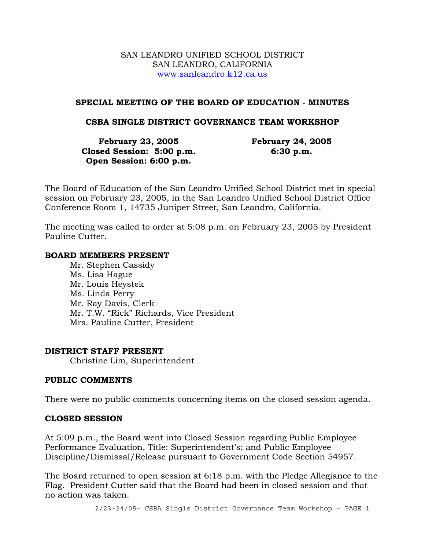#### SAN LEANDRO UNIFIED SCHOOL DISTRICT SAN LEANDRO, CALIFORNIA www.sanleandro.k12.ca.us

### **SPECIAL MEETING OF THE BOARD OF EDUCATION - MINUTES**

### **CSBA SINGLE DISTRICT GOVERNANCE TEAM WORKSHOP**

| <b>February 23, 2005</b>  | <b>February 24, 2005</b> |
|---------------------------|--------------------------|
| Closed Session: 5:00 p.m. | 6:30 p.m.                |
| Open Session: 6:00 p.m.   |                          |

The Board of Education of the San Leandro Unified School District met in special session on February 23, 2005, in the San Leandro Unified School District Office Conference Room 1, 14735 Juniper Street, San Leandro, California.

The meeting was called to order at 5:08 p.m. on February 23, 2005 by President Pauline Cutter.

#### **BOARD MEMBERS PRESENT**

Mr. Stephen Cassidy Ms. Lisa Hague Mr. Louis Heystek Ms. Linda Perry Mr. Ray Davis, Clerk Mr. T.W. "Rick" Richards, Vice President Mrs. Pauline Cutter, President

#### **DISTRICT STAFF PRESENT**

Christine Lim, Superintendent

#### **PUBLIC COMMENTS**

There were no public comments concerning items on the closed session agenda.

#### **CLOSED SESSION**

At 5:09 p.m., the Board went into Closed Session regarding Public Employee Performance Evaluation, Title: Superintendent's; and Public Employee Discipline/Dismissal/Release pursuant to Government Code Section 54957.

The Board returned to open session at 6:18 p.m. with the Pledge Allegiance to the Flag. President Cutter said that the Board had been in closed session and that no action was taken.

2/23-24/05- CSBA Single District Governance Team Workshop - PAGE 1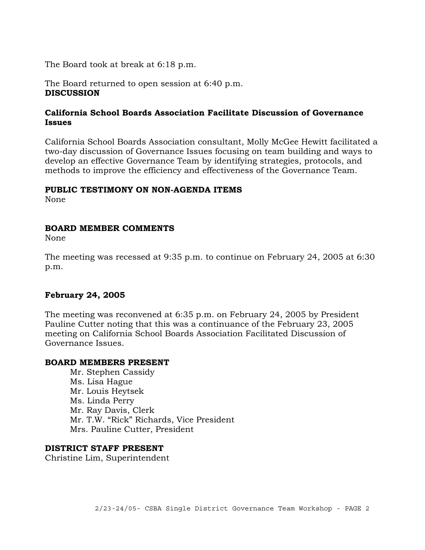The Board took at break at 6:18 p.m.

The Board returned to open session at 6:40 p.m. **DISCUSSION** 

# **California School Boards Association Facilitate Discussion of Governance Issues**

California School Boards Association consultant, Molly McGee Hewitt facilitated a two-day discussion of Governance Issues focusing on team building and ways to develop an effective Governance Team by identifying strategies, protocols, and methods to improve the efficiency and effectiveness of the Governance Team.

#### **PUBLIC TESTIMONY ON NON-AGENDA ITEMS**

None

#### **BOARD MEMBER COMMENTS**

None

The meeting was recessed at 9:35 p.m. to continue on February 24, 2005 at 6:30 p.m.

# **February 24, 2005**

The meeting was reconvened at 6:35 p.m. on February 24, 2005 by President Pauline Cutter noting that this was a continuance of the February 23, 2005 meeting on California School Boards Association Facilitated Discussion of Governance Issues.

#### **BOARD MEMBERS PRESENT**

Mr. Stephen Cassidy Ms. Lisa Hague Mr. Louis Heytsek Ms. Linda Perry Mr. Ray Davis, Clerk Mr. T.W. "Rick" Richards, Vice President Mrs. Pauline Cutter, President

#### **DISTRICT STAFF PRESENT**

Christine Lim, Superintendent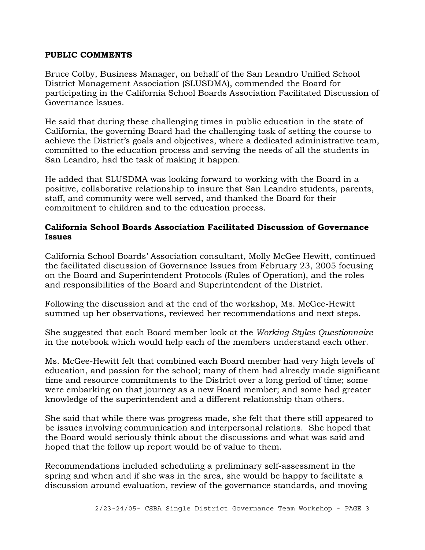### **PUBLIC COMMENTS**

Bruce Colby, Business Manager, on behalf of the San Leandro Unified School District Management Association (SLUSDMA), commended the Board for participating in the California School Boards Association Facilitated Discussion of Governance Issues.

He said that during these challenging times in public education in the state of California, the governing Board had the challenging task of setting the course to achieve the District's goals and objectives, where a dedicated administrative team, committed to the education process and serving the needs of all the students in San Leandro, had the task of making it happen.

He added that SLUSDMA was looking forward to working with the Board in a positive, collaborative relationship to insure that San Leandro students, parents, staff, and community were well served, and thanked the Board for their commitment to children and to the education process.

# **California School Boards Association Facilitated Discussion of Governance Issues**

California School Boards' Association consultant, Molly McGee Hewitt, continued the facilitated discussion of Governance Issues from February 23, 2005 focusing on the Board and Superintendent Protocols (Rules of Operation), and the roles and responsibilities of the Board and Superintendent of the District.

Following the discussion and at the end of the workshop, Ms. McGee-Hewitt summed up her observations, reviewed her recommendations and next steps.

She suggested that each Board member look at the *Working Styles Questionnaire*  in the notebook which would help each of the members understand each other.

Ms. McGee-Hewitt felt that combined each Board member had very high levels of education, and passion for the school; many of them had already made significant time and resource commitments to the District over a long period of time; some were embarking on that journey as a new Board member; and some had greater knowledge of the superintendent and a different relationship than others.

She said that while there was progress made, she felt that there still appeared to be issues involving communication and interpersonal relations. She hoped that the Board would seriously think about the discussions and what was said and hoped that the follow up report would be of value to them.

Recommendations included scheduling a preliminary self-assessment in the spring and when and if she was in the area, she would be happy to facilitate a discussion around evaluation, review of the governance standards, and moving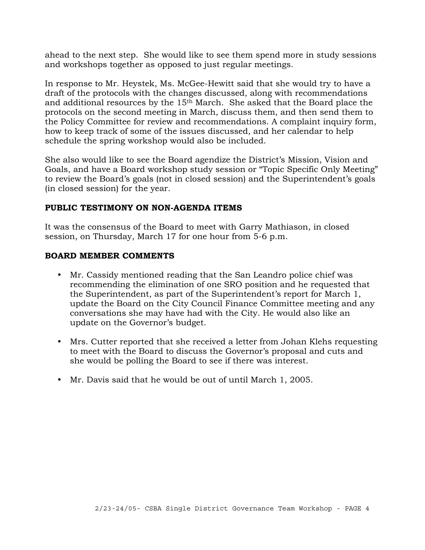ahead to the next step. She would like to see them spend more in study sessions and workshops together as opposed to just regular meetings.

In response to Mr. Heystek, Ms. McGee-Hewitt said that she would try to have a draft of the protocols with the changes discussed, along with recommendations and additional resources by the 15th March. She asked that the Board place the protocols on the second meeting in March, discuss them, and then send them to the Policy Committee for review and recommendations. A complaint inquiry form, how to keep track of some of the issues discussed, and her calendar to help schedule the spring workshop would also be included.

She also would like to see the Board agendize the District's Mission, Vision and Goals, and have a Board workshop study session or "Topic Specific Only Meeting" to review the Board's goals (not in closed session) and the Superintendent's goals (in closed session) for the year.

# **PUBLIC TESTIMONY ON NON-AGENDA ITEMS**

It was the consensus of the Board to meet with Garry Mathiason, in closed session, on Thursday, March 17 for one hour from 5-6 p.m.

# **BOARD MEMBER COMMENTS**

- Mr. Cassidy mentioned reading that the San Leandro police chief was recommending the elimination of one SRO position and he requested that the Superintendent, as part of the Superintendent's report for March 1, update the Board on the City Council Finance Committee meeting and any conversations she may have had with the City. He would also like an update on the Governor's budget.
- Mrs. Cutter reported that she received a letter from Johan Klehs requesting to meet with the Board to discuss the Governor's proposal and cuts and she would be polling the Board to see if there was interest.
- Mr. Davis said that he would be out of until March 1, 2005.